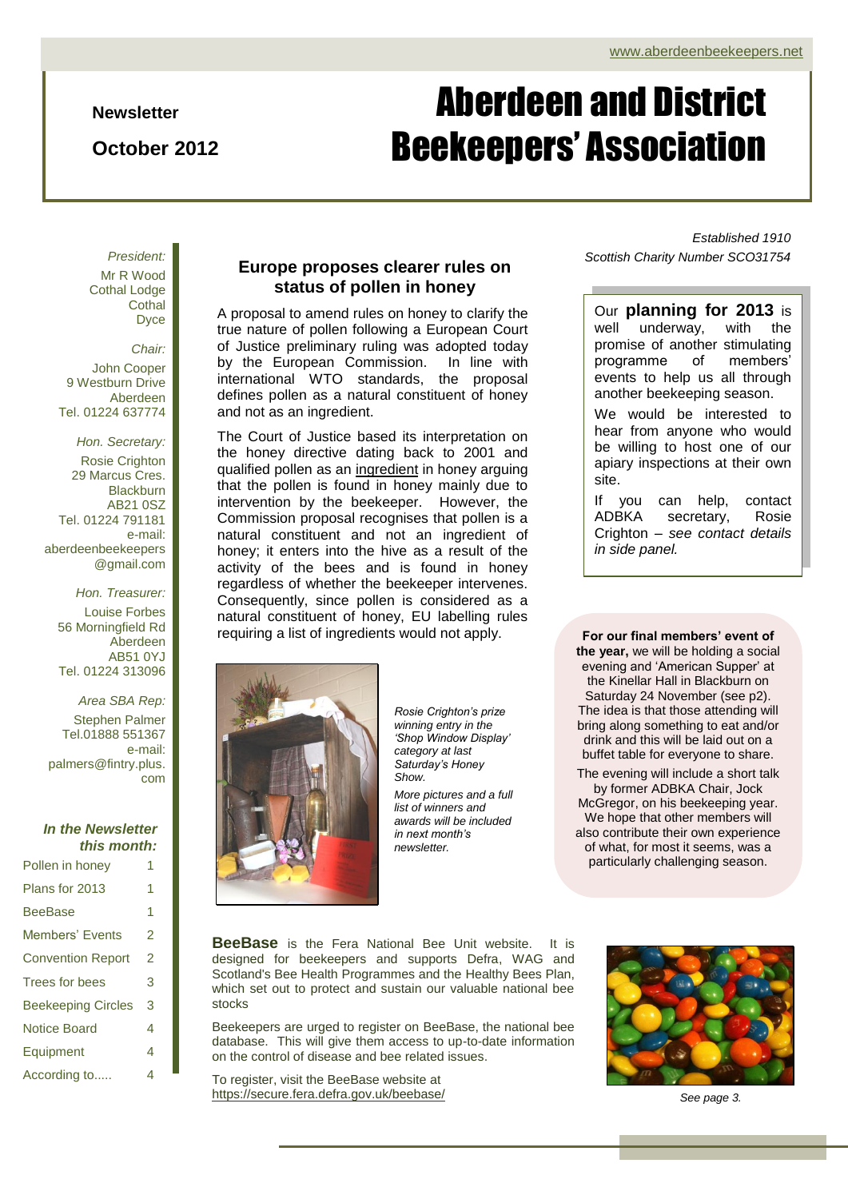**Newsletter**

**October 2012**

# Aberdeen and District Beekeepers' Association

*President:* Mr R Wood Cothal Lodge **Cothal** Dyce

*Chair:* John Cooper 9 Westburn Drive Aberdeen Tel. 01224 637774

*Hon. Secretary:* Rosie Crighton 29 Marcus Cres. Blackburn AB21 0SZ Tel. 01224 791181 e-mail: aberdeenbeekeepers @gmail.com

> *Hon. Treasurer:* Louise Forbes 56 Morningfield Rd Aberdeen AB51 0YJ Tel. 01224 313096

*Area SBA Rep:* Stephen Palmer Tel.01888 551367 e-mail: palmers@fintry.plus. com

#### *In the Newsletter this month:*

| Pollen in honey           | 1 |
|---------------------------|---|
| Plans for 2013            | 1 |
| <b>BeeBase</b>            | 1 |
| Members' Events           | 2 |
| <b>Convention Report</b>  | 2 |
| Trees for bees            | 3 |
| <b>Beekeeping Circles</b> | 3 |
| Notice Board              | 4 |
| Equipment                 | 4 |
| According to              | 4 |

#### **Europe proposes clearer rules on status of pollen in honey**

A proposal to amend rules on honey to clarify the true nature of pollen following a European Court of Justice preliminary ruling was adopted today by the European Commission. In line with international WTO standards, the proposal defines pollen as a natural constituent of honey and not as an ingredient.

The Court of Justice based its interpretation on the honey directive dating back to 2001 and qualified pollen as an ingredient in honey arguing that the pollen is found in honey mainly due to intervention by the beekeeper. However, the Commission proposal recognises that pollen is a natural constituent and not an ingredient of honey; it enters into the hive as a result of the activity of the bees and is found in honey regardless of whether the beekeeper intervenes. Consequently, since pollen is considered as a natural constituent of honey, EU labelling rules requiring a list of ingredients would not apply.



*Rosie Crighton's prize winning entry in the 'Shop Window Display' category at last Saturday's Honey Show.*

*More pictures and a full list of winners and awards will be included in next month's newsletter.*

*Established 1910 Scottish Charity Number SCO31754*

Our **planning for 2013** is well underway, with the promise of another stimulating programme of members' events to help us all through another beekeeping season.

We would be interested to hear from anyone who would be willing to host one of our apiary inspections at their own site.

If you can help, contact ADBKA secretary, Rosie Crighton – *see contact details in side panel.*

The idea is that those attending will **For our final members' event of the year,** we will be holding a social evening and 'American Supper' at the Kinellar Hall in Blackburn on Saturday 24 November (see p2). bring along something to eat and/or drink and this will be laid out on a buffet table for everyone to share.

The evening will include a short talk by former ADBKA Chair, Jock McGregor, on his beekeeping year. We hope that other members will also contribute their own experience of what, for most it seems, was a particularly challenging season.

**BeeBase** is the Fera National Bee Unit website. It is designed for beekeepers and supports Defra, WAG and Scotland's Bee Health Programmes and th[e Healthy Bees Plan,](https://secure.fera.defra.gov.uk/beebase/index.cfm?sectionid=41) which set out to protect and sustain our valuable national bee stocks

Beekeepers are urged to register on BeeBase, the national bee database. This will give them access to up-to-date information on the control of disease and bee related issues.

To register, visit the BeeBase website at <https://secure.fera.defra.gov.uk/beebase/> *See page 3.*

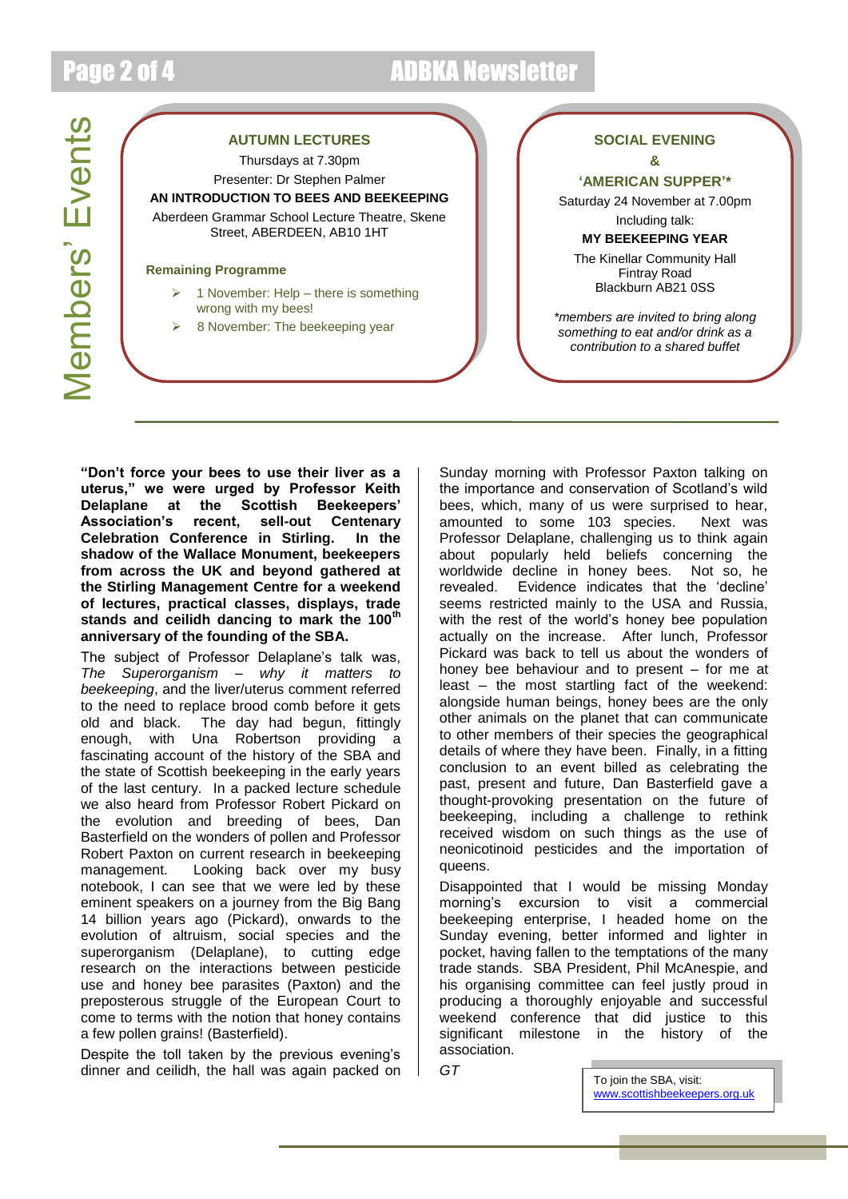### Page 2 of 4 ADBKA Newsletter

Members' Events Members' Events

### **AUTUMN LECTURES** Thursdays at 7.30pm

Presenter: Dr Stephen Palmer **AN INTRODUCTION TO BEES AND BEEKEEPING** Aberdeen Grammar School Lecture Theatre, Skene Street, ABERDEEN, AB10 1HT

#### **Remaining Programme**

- 1 November: Help there is something wrong with my bees!
- 8 November: The beekeeping year

#### **SOCIAL EVENING &**

**'AMERICAN SUPPER'\***

Saturday 24 November at 7.00pm Including talk:

**MY BEEKEEPING YEAR**

The Kinellar Community Hall Fintray Road Blackburn AB21 0SS

*\*members are invited to bring along something to eat and/or drink as a contribution to a shared buffet*

**"Don't force your bees to use their liver as a uterus," we were urged by Professor Keith the Scottish Beekeepers'<br>recent, sell-out Centenary Association's recent, sell-out Centenary Celebration Conference in Stirling. In the shadow of the Wallace Monument, beekeepers from across the UK and beyond gathered at the Stirling Management Centre for a weekend of lectures, practical classes, displays, trade stands and ceilidh dancing to mark the 100th anniversary of the founding of the SBA.**

The subject of Professor Delaplane's talk was, *The Superorganism – why it matters to beekeeping*, and the liver/uterus comment referred to the need to replace brood comb before it gets old and black. The day had begun, fittingly enough, with Una Robertson providing a fascinating account of the history of the SBA and the state of Scottish beekeeping in the early years of the last century. In a packed lecture schedule we also heard from Professor Robert Pickard on the evolution and breeding of bees, Dan Basterfield on the wonders of pollen and Professor Robert Paxton on current research in beekeeping management. Looking back over my busy notebook, I can see that we were led by these eminent speakers on a journey from the Big Bang 14 billion years ago (Pickard), onwards to the evolution of altruism, social species and the superorganism (Delaplane), to cutting edge research on the interactions between pesticide use and honey bee parasites (Paxton) and the preposterous struggle of the European Court to come to terms with the notion that honey contains a few pollen grains! (Basterfield).

Despite the toll taken by the previous evening's dinner and ceilidh, the hall was again packed on

actually on the increase. After lunch, Professor Sunday morning with Professor Paxton talking on the importance and conservation of Scotland's wild bees, which, many of us were surprised to hear, amounted to some 103 species. Next was Professor Delaplane, challenging us to think again about popularly held beliefs concerning the worldwide decline in honey bees. Not so, he revealed. Evidence indicates that the 'decline' seems restricted mainly to the USA and Russia, with the rest of the world's honey bee population Pickard was back to tell us about the wonders of honey bee behaviour and to present – for me at least – the most startling fact of the weekend: alongside human beings, honey bees are the only other animals on the planet that can communicate to other members of their species the geographical details of where they have been. Finally, in a fitting conclusion to an event billed as celebrating the past, present and future, Dan Basterfield gave a thought-provoking presentation on the future of beekeeping, including a challenge to rethink received wisdom on such things as the use of neonicotinoid pesticides and the importation of queens.

Disappointed that I would be missing Monday morning's excursion to visit a commercial beekeeping enterprise, I headed home on the Sunday evening, better informed and lighter in pocket, having fallen to the temptations of the many trade stands. SBA President, Phil McAnespie, and his organising committee can feel justly proud in producing a thoroughly enjoyable and successful weekend conference that did justice to this significant milestone in the history of the association.

*GT*

To join the SBA, visit: [www.scottishbeekeepers.org.uk](http://www.scottishbeekeepers.org.uk/)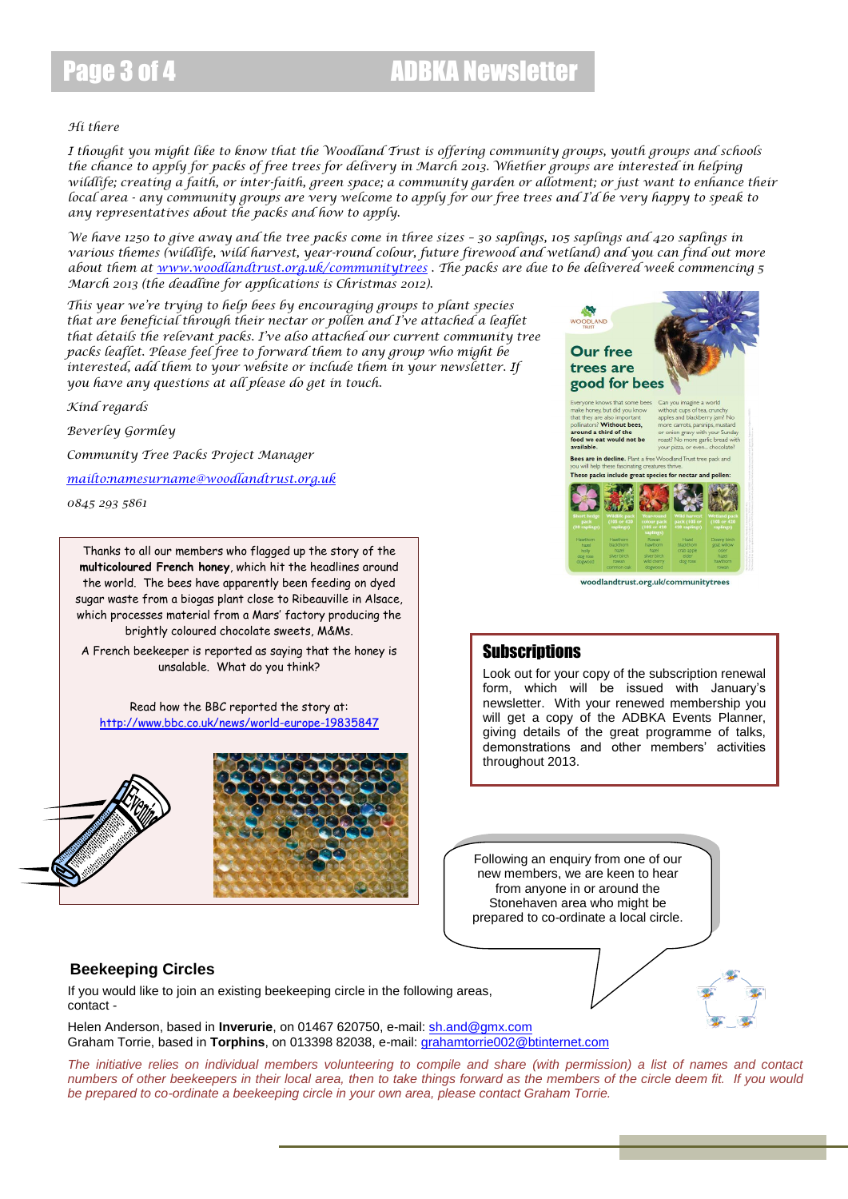## Page 3 of 4 ADBKA Newsletter

#### *Hi there*

*I thought you might like to know that the Woodland Trust is offering community groups, youth groups and schools the chance to apply for packs of free trees for delivery in March 2013. Whether groups are interested in helping wildlife; creating a faith, or inter-faith, green space; a community garden or allotment; or just want to enhance their local area - any community groups are very welcome to apply for our free trees and I'd be very happy to speak to any representatives about the packs and how to apply.*

*We have 1250 to give away and the tree packs come in three sizes – 30 saplings, 105 saplings and 420 saplings in various themes (wildlife, wild harvest, year-round colour, future firewood and wetland) and you can find out more about them at [www.woodlandtrust.org.uk/communitytrees](http://www.woodlandtrust.org.uk/communitytrees) . The packs are due to be delivered week commencing 5 March 2013 (the deadline for applications is Christmas 2012).*

*This year we're trying to help bees by encouraging groups to plant species that are beneficial through their nectar or pollen and I've attached a leaflet that details the relevant packs. I've also attached our current community tree packs leaflet. Please feel free to forward them to any group who might be*  interested, add them to your website or include them in your newsletter. If *you have any questions at all please do get in touch.*

*Kind regards*

*Beverley Gormley*

*Community Tree Packs Project Manager*

*<mailto:namesurname@woodlandtrust.org.uk>*

*0845 293 5861*

Thanks to all our members who flagged up the story of the **multicoloured French honey**, which hit the headlines around the world. The bees have apparently been feeding on dyed sugar waste from a biogas plant close to Ribeauville in Alsace, which processes material from a Mars' factory producing the brightly coloured chocolate sweets, M&Ms.

A French beekeeper is reported as saying that the honey is unsalable. What do you think?

Read how the BBC reported the story at: <http://www.bbc.co.uk/news/world-europe-19835847>







woodlandtrust.org.uk/communitytrees

#### **Subscriptions**

Look out for your copy of the subscription renewal form, which will be issued with January's newsletter. With your renewed membership you will get a copy of the ADBKA Events Planner, giving details of the great programme of talks, demonstrations and other members' activities throughout 2013.

Following an enquiry from one of our new members, we are keen to hear from anyone in or around the Stonehaven area who might be prepared to co-ordinate a local circle.

#### **Beekeeping Circles**

If you would like to join an existing beekeeping circle in the following areas, contact -

Helen Anderson, based in **Inverurie**, on 01467 620750, e-mail: [sh.and@gmx.com](mailto:sh.and@gmx.com) Graham Torrie, based in **Torphins**, on 013398 82038, e-mail[: grahamtorrie002@btinternet.com](mailto:grahamtorrie002@btinternet.com)

*The initiative relies on individual members volunteering to compile and share (with permission) a list of names and contact numbers of other beekeepers in their local area, then to take things forward as the members of the circle deem fit. If you would be prepared to co-ordinate a beekeeping circle in your own area, please contact Graham Torrie.*